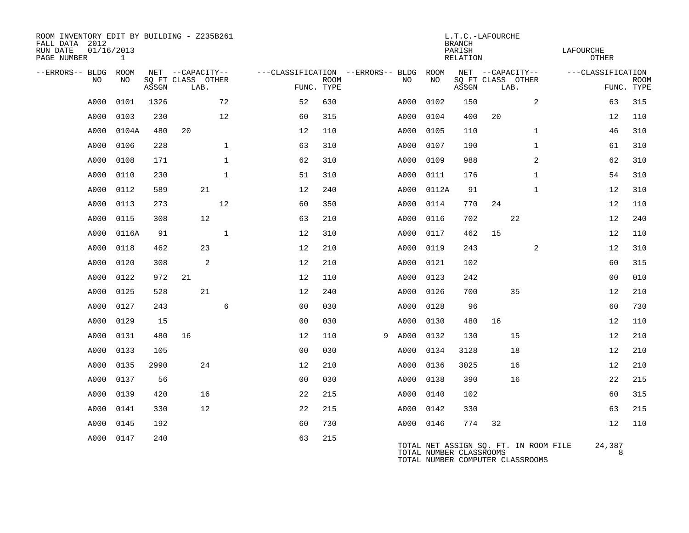| ROOM INVENTORY EDIT BY BUILDING - Z235B261<br>FALL DATA 2012<br>01/16/2013<br>RUN DATE<br>PAGE NUMBER | 1     |       |                           |              |                                   |             | LAFOURCHE<br><b>OTHER</b> |           |                                                                                                      |       |                   |      |                |                   |                           |
|-------------------------------------------------------------------------------------------------------|-------|-------|---------------------------|--------------|-----------------------------------|-------------|---------------------------|-----------|------------------------------------------------------------------------------------------------------|-------|-------------------|------|----------------|-------------------|---------------------------|
| --ERRORS-- BLDG                                                                                       | ROOM  |       | NET --CAPACITY--          |              | ---CLASSIFICATION --ERRORS-- BLDG |             |                           |           | ROOM                                                                                                 |       | NET --CAPACITY--  |      |                | ---CLASSIFICATION |                           |
| NO                                                                                                    | NO.   | ASSGN | SO FT CLASS OTHER<br>LAB. |              | FUNC. TYPE                        | <b>ROOM</b> |                           | NO        | NO                                                                                                   | ASSGN | SO FT CLASS OTHER | LAB. |                |                   | <b>ROOM</b><br>FUNC. TYPE |
| A000                                                                                                  | 0101  | 1326  |                           | 72           | 52                                | 630         |                           | A000      | 0102                                                                                                 | 150   |                   |      | 2              | 63                | 315                       |
| A000                                                                                                  | 0103  | 230   |                           | 12           | 60                                | 315         |                           | A000      | 0104                                                                                                 | 400   | 20                |      |                | 12                | 110                       |
| A000                                                                                                  | 0104A | 480   | 20                        |              | 12                                | 110         |                           | A000      | 0105                                                                                                 | 110   |                   |      | $\mathbf{1}$   | 46                | 310                       |
| A000                                                                                                  | 0106  | 228   |                           | $\mathbf{1}$ | 63                                | 310         |                           | A000      | 0107                                                                                                 | 190   |                   |      | $\mathbf{1}$   | 61                | 310                       |
| A000                                                                                                  | 0108  | 171   |                           | $\mathbf{1}$ | 62                                | 310         |                           | A000      | 0109                                                                                                 | 988   |                   |      | $\overline{a}$ | 62                | 310                       |
| A000                                                                                                  | 0110  | 230   |                           | $\mathbf{1}$ | 51                                | 310         |                           | A000      | 0111                                                                                                 | 176   |                   |      | $\mathbf{1}$   | 54                | 310                       |
| A000                                                                                                  | 0112  | 589   |                           | 21           | 12                                | 240         |                           | A000      | 0112A                                                                                                | 91    |                   |      | $\mathbf{1}$   | 12                | 310                       |
| A000                                                                                                  | 0113  | 273   |                           | 12           | 60                                | 350         |                           | A000      | 0114                                                                                                 | 770   | 24                |      |                | 12                | 110                       |
| A000                                                                                                  | 0115  | 308   |                           | 12           | 63                                | 210         |                           | A000      | 0116                                                                                                 | 702   |                   | 22   |                | 12                | 240                       |
| A000                                                                                                  | 0116A | 91    |                           | $\mathbf{1}$ | 12                                | 310         |                           | A000      | 0117                                                                                                 | 462   | 15                |      |                | 12                | 110                       |
| A000                                                                                                  | 0118  | 462   |                           | 23           | 12                                | 210         |                           | A000      | 0119                                                                                                 | 243   |                   |      | 2              | 12                | 310                       |
| A000                                                                                                  | 0120  | 308   |                           | 2            | 12                                | 210         |                           | A000      | 0121                                                                                                 | 102   |                   |      |                | 60                | 315                       |
| A000                                                                                                  | 0122  | 972   | 21                        |              | 12                                | 110         |                           | A000      | 0123                                                                                                 | 242   |                   |      |                | 0 <sub>0</sub>    | 010                       |
| A000                                                                                                  | 0125  | 528   |                           | 21           | 12                                | 240         |                           | A000      | 0126                                                                                                 | 700   |                   | 35   |                | 12                | 210                       |
| A000                                                                                                  | 0127  | 243   |                           | 6            | 0 <sub>0</sub>                    | 030         |                           | A000      | 0128                                                                                                 | 96    |                   |      |                | 60                | 730                       |
| A000                                                                                                  | 0129  | 15    |                           |              | 0 <sub>0</sub>                    | 030         |                           | A000      | 0130                                                                                                 | 480   | 16                |      |                | 12                | 110                       |
| A000                                                                                                  | 0131  | 480   | 16                        |              | 12                                | 110         | 9                         | A000      | 0132                                                                                                 | 130   |                   | 15   |                | 12                | 210                       |
| A000                                                                                                  | 0133  | 105   |                           |              | 0 <sub>0</sub>                    | 030         |                           | A000      | 0134                                                                                                 | 3128  |                   | 18   |                | 12                | 210                       |
| A000                                                                                                  | 0135  | 2990  |                           | 24           | 12                                | 210         |                           | A000      | 0136                                                                                                 | 3025  |                   | 16   |                | 12                | 210                       |
| A000                                                                                                  | 0137  | 56    |                           |              | 0 <sub>0</sub>                    | 030         |                           | A000      | 0138                                                                                                 | 390   |                   | 16   |                | 22                | 215                       |
| A000                                                                                                  | 0139  | 420   |                           | 16           | 22                                | 215         |                           | A000      | 0140                                                                                                 | 102   |                   |      |                | 60                | 315                       |
| A000                                                                                                  | 0141  | 330   |                           | 12           | 22                                | 215         |                           | A000      | 0142                                                                                                 | 330   |                   |      |                | 63                | 215                       |
| A000                                                                                                  | 0145  | 192   |                           |              | 60                                | 730         |                           | A000 0146 |                                                                                                      | 774   | 32                |      |                | 12                | 110                       |
| A000                                                                                                  | 0147  | 240   |                           |              | 63                                | 215         |                           |           | TOTAL NET ASSIGN SQ. FT. IN ROOM FILE<br>TOTAL NUMBER CLASSROOMS<br>TOTAL NUMBER COMPUTER CLASSROOMS |       |                   |      |                | 24,387<br>8       |                           |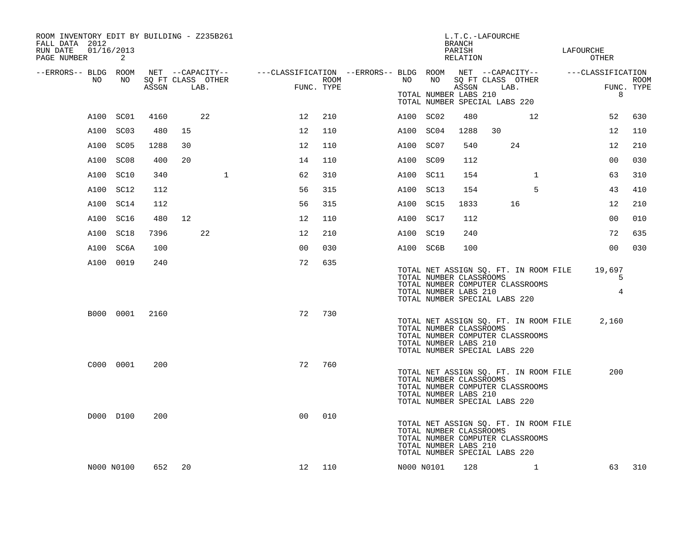| ROOM INVENTORY EDIT BY BUILDING - Z235B261<br>FALL DATA 2012<br>01/16/2013<br>RUN DATE<br>PAGE NUMBER | 2          |       |    |                           |                                                                                                |                    |           |                                                  | BRANCH<br>PARISH<br>RELATION | L.T.C.-LAFOURCHE              |                                                                           | LAFOURCHE<br>OTHER            |                    |
|-------------------------------------------------------------------------------------------------------|------------|-------|----|---------------------------|------------------------------------------------------------------------------------------------|--------------------|-----------|--------------------------------------------------|------------------------------|-------------------------------|---------------------------------------------------------------------------|-------------------------------|--------------------|
| --ERRORS-- BLDG ROOM                                                                                  |            |       |    |                           | NET --CAPACITY-- - ---CLASSIFICATION --ERRORS-- BLDG ROOM NET --CAPACITY-- - ---CLASSIFICATION |                    |           |                                                  |                              |                               |                                                                           |                               |                    |
| NO                                                                                                    | NO         | ASSGN |    | SQ FT CLASS OTHER<br>LAB. |                                                                                                | ROOM<br>FUNC. TYPE | NO        | NO<br>TOTAL NUMBER LABS 210                      | ASSGN                        | TOTAL NUMBER SPECIAL LABS 220 | SQ FT CLASS OTHER<br>LAB.                                                 | 8                             | ROOM<br>FUNC. TYPE |
|                                                                                                       | A100 SC01  | 4160  |    | 22                        | 12                                                                                             | 210                | A100 SC02 |                                                  | 480                          |                               | 12                                                                        | 52                            | 630                |
|                                                                                                       | A100 SC03  | 480   | 15 |                           | 12                                                                                             | 110                | A100 SC04 |                                                  | 1288                         | 30                            |                                                                           | 12                            | 110                |
|                                                                                                       | A100 SC05  | 1288  | 30 |                           | 12                                                                                             | 110                | A100 SC07 |                                                  | 540                          |                               | 24                                                                        | 12                            | 210                |
| A100                                                                                                  | SC08       | 400   | 20 |                           | 14                                                                                             | 110                | A100 SC09 |                                                  | 112                          |                               |                                                                           | 0 <sub>0</sub>                | 030                |
|                                                                                                       | A100 SC10  | 340   |    | $\mathbf{1}$              | 62                                                                                             | 310                | A100 SC11 |                                                  | 154                          |                               | $\mathbf{1}$                                                              | 63                            | 310                |
|                                                                                                       | A100 SC12  | 112   |    |                           | 56                                                                                             | 315                | A100 SC13 |                                                  | 154                          |                               | 5                                                                         | 43                            | 410                |
|                                                                                                       | A100 SC14  | 112   |    |                           | 56                                                                                             | 315                | A100 SC15 |                                                  | 1833                         |                               | 16                                                                        | 12                            | 210                |
|                                                                                                       | A100 SC16  | 480   | 12 |                           | 12                                                                                             | 110                | A100 SC17 |                                                  | 112                          |                               |                                                                           | 0 <sub>0</sub>                | 010                |
|                                                                                                       | A100 SC18  | 7396  |    | 22                        | 12                                                                                             | 210                | A100 SC19 |                                                  | 240                          |                               |                                                                           | 72                            | 635                |
|                                                                                                       | A100 SC6A  | 100   |    |                           | 0 <sup>0</sup>                                                                                 | 030                | A100 SC6B |                                                  | 100                          |                               |                                                                           | 0 <sub>0</sub>                | 030                |
|                                                                                                       | A100 0019  | 240   |    |                           | 72                                                                                             | 635                |           | TOTAL NUMBER CLASSROOMS<br>TOTAL NUMBER LABS 210 |                              | TOTAL NUMBER SPECIAL LABS 220 | TOTAL NET ASSIGN SQ. FT. IN ROOM FILE<br>TOTAL NUMBER COMPUTER CLASSROOMS | 19,697<br>5<br>$\overline{4}$ |                    |
|                                                                                                       | B000 0001  | 2160  |    |                           | 72                                                                                             | 730                |           | TOTAL NUMBER CLASSROOMS<br>TOTAL NUMBER LABS 210 |                              | TOTAL NUMBER SPECIAL LABS 220 | TOTAL NET ASSIGN SQ. FT. IN ROOM FILE<br>TOTAL NUMBER COMPUTER CLASSROOMS | 2,160                         |                    |
|                                                                                                       | C000 0001  | 200   |    |                           | 72                                                                                             | 760                |           | TOTAL NUMBER CLASSROOMS<br>TOTAL NUMBER LABS 210 |                              | TOTAL NUMBER SPECIAL LABS 220 | TOTAL NET ASSIGN SQ. FT. IN ROOM FILE<br>TOTAL NUMBER COMPUTER CLASSROOMS | 200                           |                    |
|                                                                                                       | D000 D100  | 200   |    |                           | 0 <sup>0</sup>                                                                                 | 010                |           | TOTAL NUMBER CLASSROOMS<br>TOTAL NUMBER LABS 210 |                              | TOTAL NUMBER SPECIAL LABS 220 | TOTAL NET ASSIGN SQ. FT. IN ROOM FILE<br>TOTAL NUMBER COMPUTER CLASSROOMS |                               |                    |
|                                                                                                       | N000 N0100 | 652   | 20 |                           | 12 <sub>2</sub>                                                                                | 110                |           | N000 N0101                                       | 128                          |                               | $\mathbf{1}$                                                              | 63                            | 310                |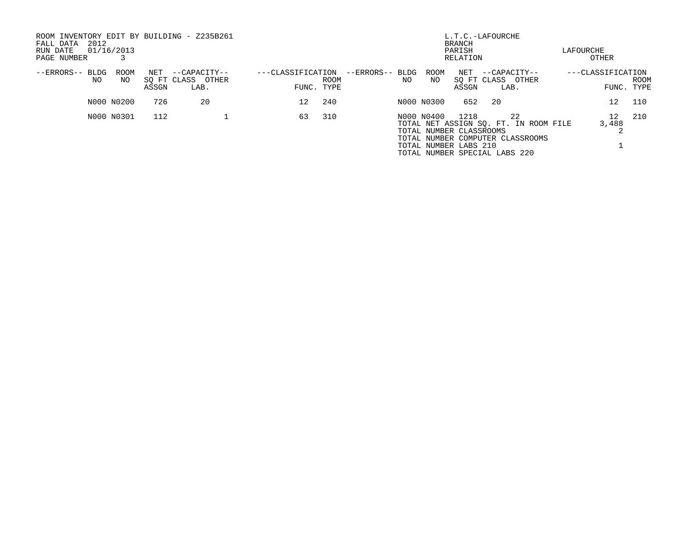| ROOM INVENTORY EDIT BY BUILDING - Z235B261<br>2012<br>FALL DATA<br>RUN DATE<br>PAGE NUMBER | 01/16/2013  |              |                                           |                   | L.T.C.-LAFOURCHE<br><b>BRANCH</b><br>PARISH<br>RELATION |                 |     |            |                                                                                           |      |                                                                                 |  |                                 | LAFOURCHE<br>OTHER |  |  |  |  |  |
|--------------------------------------------------------------------------------------------|-------------|--------------|-------------------------------------------|-------------------|---------------------------------------------------------|-----------------|-----|------------|-------------------------------------------------------------------------------------------|------|---------------------------------------------------------------------------------|--|---------------------------------|--------------------|--|--|--|--|--|
| --ERRORS--<br>BLDG<br>NO.                                                                  | ROOM<br>NO. | NET<br>ASSGN | --CAPACITY--<br>SO FT CLASS OTHER<br>LAB. | ---CLASSIFICATION | ROOM<br>FUNC. TYPE                                      | --ERRORS-- BLDG | NO. | ROOM<br>NO | NET<br>SO FT CLASS OTHER<br>ASSGN                                                         | LAB. | --CAPACITY--                                                                    |  | ---CLASSIFICATION<br>FUNC. TYPE | <b>ROOM</b>        |  |  |  |  |  |
|                                                                                            | N000 N0200  | 726          | 20                                        | 12 <sup>°</sup>   | 240                                                     |                 |     | N000 N0300 | 652                                                                                       | -20  |                                                                                 |  | 12 <sup>°</sup>                 | 110                |  |  |  |  |  |
|                                                                                            | N000 N0301  | 112          |                                           | 63                | 310                                                     |                 |     | N000 N0400 | 1218<br>TOTAL NUMBER CLASSROOMS<br>TOTAL NUMBER LABS 210<br>TOTAL NUMBER SPECIAL LABS 220 |      | 22<br>TOTAL NET ASSIGN SQ. FT. IN ROOM FILE<br>TOTAL NUMBER COMPUTER CLASSROOMS |  | 12 <sup>°</sup><br>3,488        | 210                |  |  |  |  |  |